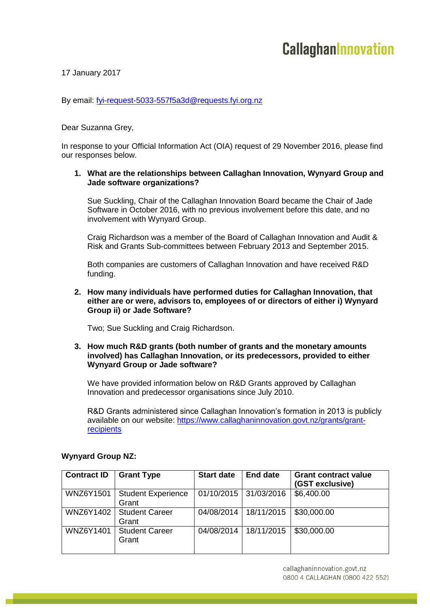17 January 2017

By email: [fyi-request-5033-557f5a3d@requests.fyi.org.nz](mailto:xxxxxxxxxxxxxxxxxxxxxxxxx@xxxxxxxx.xxx.xxx.xx)

Dear Suzanna Grey,

In response to your Official Information Act (OIA) request of 29 November 2016, please find our responses below.

## **1. What are the relationships between Callaghan Innovation, Wynyard Group and Jade software organizations?**

Sue Suckling, Chair of the Callaghan Innovation Board became the Chair of Jade Software in October 2016, with no previous involvement before this date, and no involvement with Wynyard Group.

Craig Richardson was a member of the Board of Callaghan Innovation and Audit & Risk and Grants Sub-committees between February 2013 and September 2015.

Both companies are customers of Callaghan Innovation and have received R&D funding.

#### **2. How many individuals have performed duties for Callaghan Innovation, that either are or were, advisors to, employees of or directors of either i) Wynyard Group ii) or Jade Software?**

Two; Sue Suckling and Craig Richardson.

## **3. How much R&D grants (both number of grants and the monetary amounts involved) has Callaghan Innovation, or its predecessors, provided to either Wynyard Group or Jade software?**

We have provided information below on R&D Grants approved by Callaghan Innovation and predecessor organisations since July 2010.

R&D Grants administered since Callaghan Innovation's formation in 2013 is publicly available on our website: [https://www.callaghaninnovation.govt.nz/grants/grant](https://www.callaghaninnovation.govt.nz/grants/grant-recipients)[recipients](https://www.callaghaninnovation.govt.nz/grants/grant-recipients)

| <b>Contract ID</b> | <b>Grant Type</b>                  | <b>Start date</b> | <b>End date</b>       | <b>Grant contract value</b><br>(GST exclusive) |
|--------------------|------------------------------------|-------------------|-----------------------|------------------------------------------------|
| <b>WNZ6Y1501</b>   | <b>Student Experience</b><br>Grant |                   | 01/10/2015 31/03/2016 | \$6,400.00                                     |
| WNZ6Y1402          | <b>Student Career</b><br>Grant     | 04/08/2014        | 18/11/2015            | \$30,000.00                                    |
| <b>WNZ6Y1401</b>   | <b>Student Career</b><br>Grant     | 04/08/2014        | 18/11/2015            | \$30,000.00                                    |

# **Wynyard Group NZ:**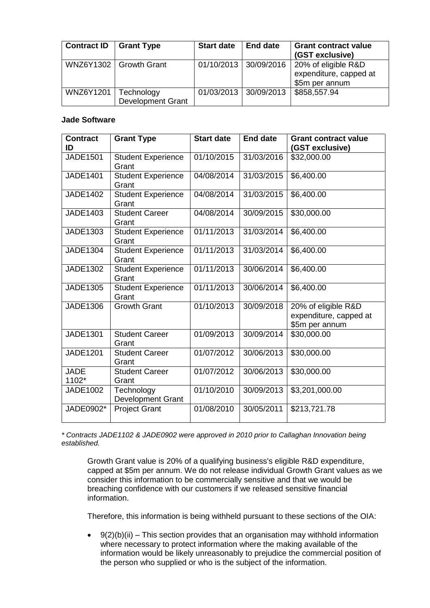| <b>Contract ID</b> | <b>Grant Type</b>                              | <b>Start date</b> | <b>End date</b>       | <b>Grant contract value</b><br>(GST exclusive)                  |
|--------------------|------------------------------------------------|-------------------|-----------------------|-----------------------------------------------------------------|
|                    | WNZ6Y1302   Growth Grant                       |                   | 01/10/2013 30/09/2016 | 20% of eligible R&D<br>expenditure, capped at<br>\$5m per annum |
| <b>WNZ6Y1201</b>   | $\vert$ Technology<br><b>Development Grant</b> |                   | 01/03/2013 30/09/2013 | \$858,557.94                                                    |

## **Jade Software**

| <b>Contract</b><br>ID | <b>Grant Type</b>                  | <b>Start date</b> | <b>End date</b> | <b>Grant contract value</b><br>(GST exclusive)                  |
|-----------------------|------------------------------------|-------------------|-----------------|-----------------------------------------------------------------|
| JADE1501              | <b>Student Experience</b><br>Grant | 01/10/2015        | 31/03/2016      | \$32,000.00                                                     |
| <b>JADE1401</b>       | <b>Student Experience</b><br>Grant | 04/08/2014        | 31/03/2015      | \$6,400.00                                                      |
| <b>JADE1402</b>       | <b>Student Experience</b><br>Grant | 04/08/2014        | 31/03/2015      | \$6,400.00                                                      |
| <b>JADE1403</b>       | <b>Student Career</b><br>Grant     | 04/08/2014        | 30/09/2015      | \$30,000.00                                                     |
| <b>JADE1303</b>       | <b>Student Experience</b><br>Grant | 01/11/2013        | 31/03/2014      | \$6,400.00                                                      |
| JADE1304              | <b>Student Experience</b><br>Grant | 01/11/2013        | 31/03/2014      | \$6,400.00                                                      |
| <b>JADE1302</b>       | <b>Student Experience</b><br>Grant | 01/11/2013        | 30/06/2014      | \$6,400.00                                                      |
| <b>JADE1305</b>       | <b>Student Experience</b><br>Grant | 01/11/2013        | 30/06/2014      | \$6,400.00                                                      |
| <b>JADE1306</b>       | <b>Growth Grant</b>                | 01/10/2013        | 30/09/2018      | 20% of eligible R&D<br>expenditure, capped at<br>\$5m per annum |
| <b>JADE1301</b>       | <b>Student Career</b><br>Grant     | 01/09/2013        | 30/09/2014      | \$30,000.00                                                     |
| <b>JADE1201</b>       | <b>Student Career</b><br>Grant     | 01/07/2012        | 30/06/2013      | \$30,000.00                                                     |
| <b>JADE</b><br>1102*  | <b>Student Career</b><br>Grant     | 01/07/2012        | 30/06/2013      | \$30,000.00                                                     |
| <b>JADE1002</b>       | Technology<br>Development Grant    | 01/10/2010        | 30/09/2013      | \$3,201,000.00                                                  |
| JADE0902*             | <b>Project Grant</b>               | 01/08/2010        | 30/05/2011      | \$213,721.78                                                    |

*\* Contracts JADE1102 & JADE0902 were approved in 2010 prior to Callaghan Innovation being established.* 

Growth Grant value is 20% of a qualifying business's eligible R&D expenditure, capped at \$5m per annum. We do not release individual Growth Grant values as we consider this information to be commercially sensitive and that we would be breaching confidence with our customers if we released sensitive financial information.

Therefore, this information is being withheld pursuant to these sections of the OIA:

 $\bullet$  9(2)(b)(ii) – This section provides that an organisation may withhold information where necessary to protect information where the making available of the information would be likely unreasonably to prejudice the commercial position of the person who supplied or who is the subject of the information.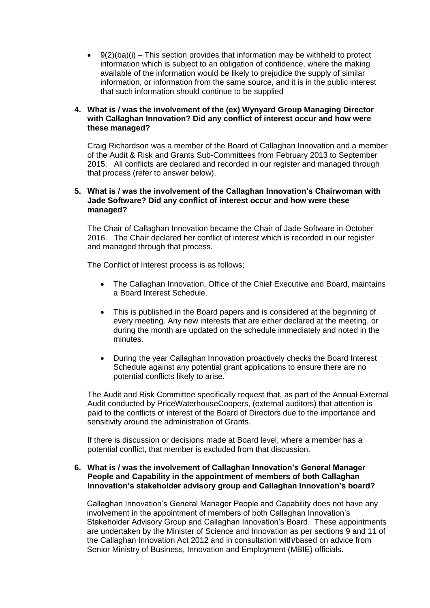$\bullet$  9(2)(ba)(i) – This section provides that information may be withheld to protect information which is subject to an obligation of confidence, where the making available of the information would be likely to prejudice the supply of similar information, or information from the same source, and it is in the public interest that such information should continue to be supplied

## **4. What is / was the involvement of the (ex) Wynyard Group Managing Director with Callaghan Innovation? Did any conflict of interest occur and how were these managed?**

Craig Richardson was a member of the Board of Callaghan Innovation and a member of the Audit & Risk and Grants Sub-Committees from February 2013 to September 2015. All conflicts are declared and recorded in our register and managed through that process (refer to answer below).

## **5. What is / was the involvement of the Callaghan Innovation's Chairwoman with Jade Software? Did any conflict of interest occur and how were these managed?**

The Chair of Callaghan Innovation became the Chair of Jade Software in October 2016. The Chair declared her conflict of interest which is recorded in our register and managed through that process.

The Conflict of Interest process is as follows;

- The Callaghan Innovation, Office of the Chief Executive and Board, maintains a Board Interest Schedule.
- This is published in the Board papers and is considered at the beginning of every meeting. Any new interests that are either declared at the meeting, or during the month are updated on the schedule immediately and noted in the minutes.
- During the year Callaghan Innovation proactively checks the Board Interest Schedule against any potential grant applications to ensure there are no potential conflicts likely to arise.

The Audit and Risk Committee specifically request that, as part of the Annual External Audit conducted by PriceWaterhouseCoopers, (external auditors) that attention is paid to the conflicts of interest of the Board of Directors due to the importance and sensitivity around the administration of Grants.

If there is discussion or decisions made at Board level, where a member has a potential conflict, that member is excluded from that discussion.

#### **6. What is / was the involvement of Callaghan Innovation's General Manager People and Capability in the appointment of members of both Callaghan Innovation's stakeholder advisory group and Callaghan Innovation's board?**

Callaghan Innovation's General Manager People and Capability does not have any involvement in the appointment of members of both Callaghan Innovation's Stakeholder Advisory Group and Callaghan Innovation's Board. These appointments are undertaken by the Minister of Science and Innovation as per sections 9 and 11 of the Callaghan Innovation Act 2012 and in consultation with/based on advice from Senior Ministry of Business, Innovation and Employment (MBIE) officials.